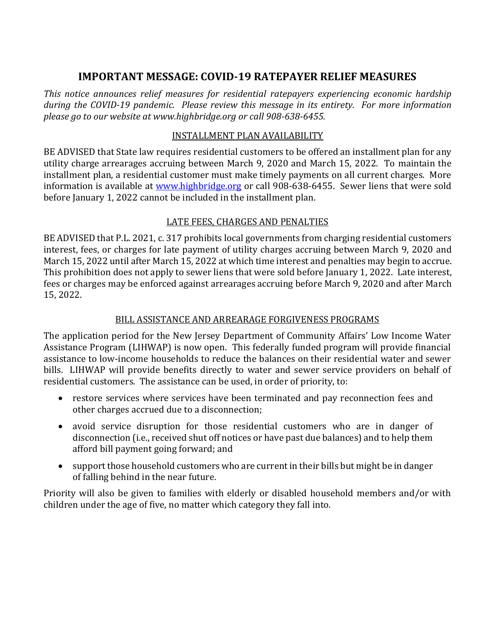# **IMPORTANT MESSAGE: COVID‐19 RATEPAYER RELIEF MEASURES**

*This notice announces relief measures for residential ratepayers experiencing economic hardship during the COVID‐19 pandemic. Please review this message in its entirety. For more information please go to our website at www.highbridge.org or call 908‐638‐6455.*

#### INSTALLMENT PLAN AVAILABILITY

BE ADVISED that State law requires residential customers to be offered an installment plan for any utility charge arrearages accruing between March 9, 2020 and March 15, 2022. To maintain the installment plan, a residential customer must make timely payments on all current charges. More information is available at www.highbridge.org or call 908-638-6455. Sewer liens that were sold before January 1, 2022 cannot be included in the installment plan.

## LATE FEES, CHARGES AND PENALTIES

BE ADVISED that P.L. 2021, c. 317 prohibits local governments from charging residential customers interest, fees, or charges for late payment of utility charges accruing between March 9, 2020 and March 15, 2022 until after March 15, 2022 at which time interest and penalties may begin to accrue. This prohibition does not apply to sewer liens that were sold before January 1, 2022. Late interest, fees or charges may be enforced against arrearages accruing before March 9, 2020 and after March 15, 2022.

### BILL ASSISTANCE AND ARREARAGE FORGIVENESS PROGRAMS

The application period for the New Jersey Department of Community Affairs' Low Income Water Assistance Program (LIHWAP) is now open. This federally funded program will provide financial assistance to low-income households to reduce the balances on their residential water and sewer bills. LIHWAP will provide benefits directly to water and sewer service providers on behalf of residential customers. The assistance can be used, in order of priority, to:

- restore services where services have been terminated and pay reconnection fees and other charges accrued due to a disconnection;
- avoid service disruption for those residential customers who are in danger of disconnection (i.e., received shut off notices or have past due balances) and to help them afford bill payment going forward; and
- support those household customers who are current in their bills but might be in danger of falling behind in the near future.

Priority will also be given to families with elderly or disabled household members and/or with children under the age of five, no matter which category they fall into.